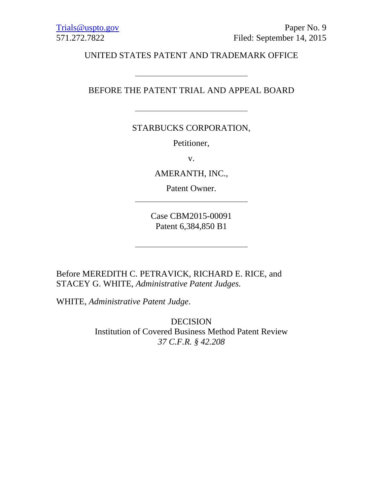UNITED STATES PATENT AND TRADEMARK OFFICE

# BEFORE THE PATENT TRIAL AND APPEAL BOARD

# STARBUCKS CORPORATION,

Petitioner,

v.

AMERANTH, INC.,

Patent Owner.

<u> 1989 - Johann Barnett, fransk politik (</u>

Case CBM2015-00091 Patent 6,384,850 B1

Before MEREDITH C. PETRAVICK, RICHARD E. RICE, and STACEY G. WHITE, *Administrative Patent Judges.* 

WHITE, *Administrative Patent Judge*.

DECISION Institution of Covered Business Method Patent Review *37 C.F.R. § 42.208*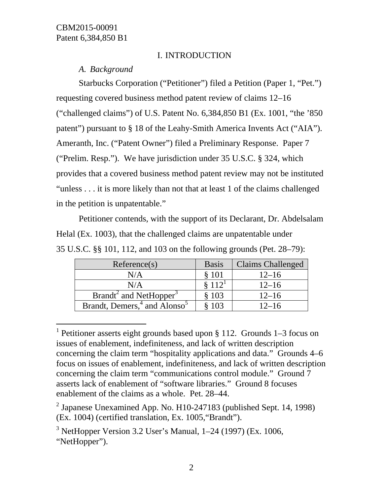$\overline{a}$ 

# I. INTRODUCTION

*A. Background* 

Starbucks Corporation ("Petitioner") filed a Petition (Paper 1, "Pet.") requesting covered business method patent review of claims 12–16 ("challenged claims") of U.S. Patent No. 6,384,850 B1 (Ex. 1001, "the '850 patent") pursuant to § 18 of the Leahy-Smith America Invents Act ("AIA"). Ameranth, Inc. ("Patent Owner") filed a Preliminary Response. Paper 7 ("Prelim. Resp."). We have jurisdiction under 35 U.S.C. § 324, which provides that a covered business method patent review may not be instituted "unless . . . it is more likely than not that at least 1 of the claims challenged in the petition is unpatentable."

Petitioner contends, with the support of its Declarant, Dr. Abdelsalam Helal (Ex. 1003), that the challenged claims are unpatentable under 35 U.S.C. §§ 101, 112, and 103 on the following grounds (Pet. 28–79):

| Reference(s)                                            | <b>Basis</b> | Claims Challenged |
|---------------------------------------------------------|--------------|-------------------|
| N/A                                                     | \$101        | $12 - 16$         |
| N/A                                                     | 8112'        | $12 - 16$         |
| $\overline{\text{Brandt}}^2$ and NetHopper <sup>3</sup> | \$103        | $12 - 16$         |
| Brandt, Demers, <sup>4</sup> and Alonso <sup>5</sup>    | 103          | $12 - 16$         |

<sup>&</sup>lt;sup>1</sup> Petitioner asserts eight grounds based upon § 112. Grounds 1–3 focus on issues of enablement, indefiniteness, and lack of written description concerning the claim term "hospitality applications and data." Grounds 4–6 focus on issues of enablement, indefiniteness, and lack of written description concerning the claim term "communications control module." Ground 7 asserts lack of enablement of "software libraries." Ground 8 focuses enablement of the claims as a whole. Pet. 28–44.

<sup>&</sup>lt;sup>2</sup> Japanese Unexamined App. No. H10-247183 (published Sept. 14, 1998) (Ex. 1004) (certified translation, Ex. 1005,"Brandt").

<sup>&</sup>lt;sup>3</sup> NetHopper Version 3.2 User's Manual,  $1-24$  (1997) (Ex. 1006, "NetHopper").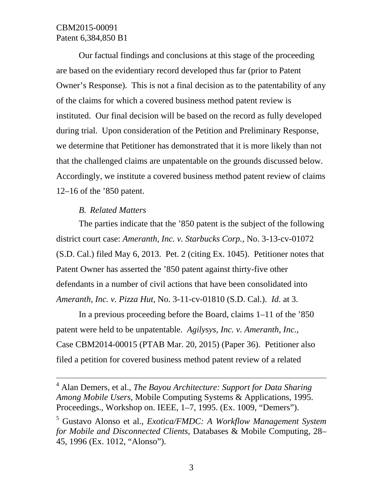Our factual findings and conclusions at this stage of the proceeding are based on the evidentiary record developed thus far (prior to Patent Owner's Response). This is not a final decision as to the patentability of any of the claims for which a covered business method patent review is instituted. Our final decision will be based on the record as fully developed during trial. Upon consideration of the Petition and Preliminary Response, we determine that Petitioner has demonstrated that it is more likely than not that the challenged claims are unpatentable on the grounds discussed below. Accordingly, we institute a covered business method patent review of claims 12–16 of the '850 patent.

## *B. Related Matters*

l

The parties indicate that the '850 patent is the subject of the following district court case: *Ameranth, Inc. v. Starbucks Corp.,* No. 3-13-cv-01072 (S.D. Cal.) filed May 6, 2013. Pet. 2 (citing Ex. 1045). Petitioner notes that Patent Owner has asserted the '850 patent against thirty-five other defendants in a number of civil actions that have been consolidated into *Ameranth, Inc. v. Pizza Hut,* No. 3-11-cv-01810 (S.D. Cal.). *Id.* at 3.

In a previous proceeding before the Board, claims 1–11 of the '850 patent were held to be unpatentable. *Agilysys, Inc. v. Ameranth, Inc.,* Case CBM2014-00015 (PTAB Mar. 20, 2015) (Paper 36). Petitioner also filed a petition for covered business method patent review of a related

<sup>4</sup> Alan Demers, et al., *The Bayou Architecture: Support for Data Sharing Among Mobile Users*, Mobile Computing Systems & Applications, 1995. Proceedings., Workshop on. IEEE, 1–7, 1995. (Ex. 1009, "Demers").

<sup>5</sup> Gustavo Alonso et al., *Exotica/FMDC: A Workflow Management System for Mobile and Disconnected Clients*, Databases & Mobile Computing, 28– 45, 1996 (Ex. 1012, "Alonso").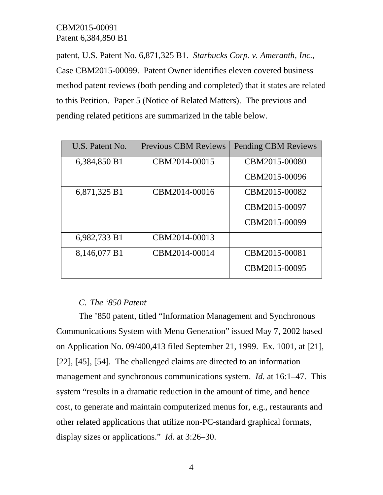patent, U.S. Patent No. 6,871,325 B1. *Starbucks Corp. v. Ameranth, Inc.,* Case CBM2015-00099. Patent Owner identifies eleven covered business method patent reviews (both pending and completed) that it states are related to this Petition. Paper 5 (Notice of Related Matters). The previous and pending related petitions are summarized in the table below.

| U.S. Patent No. | <b>Previous CBM Reviews</b> | <b>Pending CBM Reviews</b> |
|-----------------|-----------------------------|----------------------------|
| 6,384,850 B1    | CBM2014-00015               | CBM2015-00080              |
|                 |                             | CBM2015-00096              |
| 6,871,325 B1    | CBM2014-00016               | CBM2015-00082              |
|                 |                             | CBM2015-00097              |
|                 |                             | CBM2015-00099              |
| 6,982,733 B1    | CBM2014-00013               |                            |
| 8,146,077 B1    | CBM2014-00014               | CBM2015-00081              |
|                 |                             | CBM2015-00095              |

# *C. The '850 Patent*

The '850 patent, titled "Information Management and Synchronous Communications System with Menu Generation" issued May 7, 2002 based on Application No. 09/400,413 filed September 21, 1999. Ex. 1001, at [21], [22], [45], [54]. The challenged claims are directed to an information management and synchronous communications system. *Id.* at 16:1–47. This system "results in a dramatic reduction in the amount of time, and hence cost, to generate and maintain computerized menus for, e.g., restaurants and other related applications that utilize non-PC-standard graphical formats, display sizes or applications." *Id.* at 3:26–30.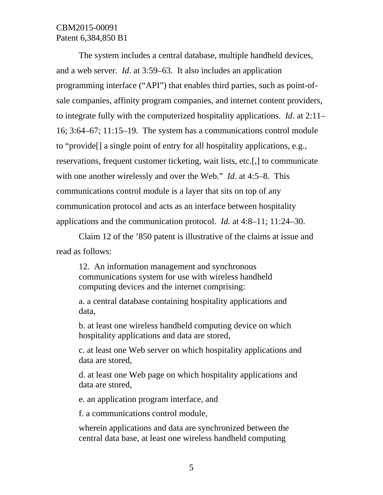The system includes a central database, multiple handheld devices, and a web server. *Id*. at 3:59–63. It also includes an application programming interface ("API") that enables third parties, such as point-ofsale companies, affinity program companies, and internet content providers, to integrate fully with the computerized hospitality applications. *Id.* at 2:11– 16; 3:64–67; 11:15–19. The system has a communications control module to "provide[] a single point of entry for all hospitality applications, e.g., reservations, frequent customer ticketing, wait lists, etc.[,] to communicate with one another wirelessly and over the Web." *Id*. at 4:5–8. This communications control module is a layer that sits on top of any communication protocol and acts as an interface between hospitality applications and the communication protocol. *Id.* at 4:8–11; 11:24–30.

Claim 12 of the '850 patent is illustrative of the claims at issue and read as follows:

12. An information management and synchronous communications system for use with wireless handheld computing devices and the internet comprising:

a. a central database containing hospitality applications and data,

b. at least one wireless handheld computing device on which hospitality applications and data are stored,

c. at least one Web server on which hospitality applications and data are stored,

d. at least one Web page on which hospitality applications and data are stored,

e. an application program interface, and

f. a communications control module,

wherein applications and data are synchronized between the central data base, at least one wireless handheld computing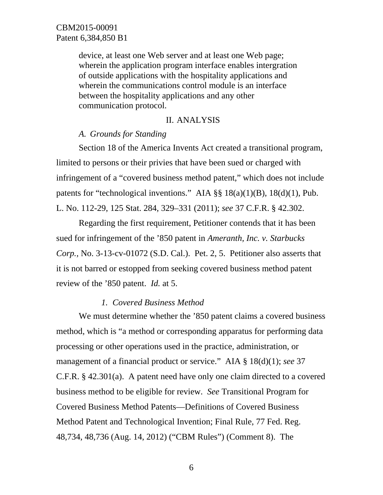device, at least one Web server and at least one Web page; wherein the application program interface enables intergration of outside applications with the hospitality applications and wherein the communications control module is an interface between the hospitality applications and any other communication protocol.

### II. ANALYSIS

### *A. Grounds for Standing*

Section 18 of the America Invents Act created a transitional program, limited to persons or their privies that have been sued or charged with infringement of a "covered business method patent," which does not include patents for "technological inventions." AIA  $\S$ § 18(a)(1)(B), 18(d)(1), Pub. L. No. 112-29, 125 Stat. 284, 329–331 (2011); *see* 37 C.F.R. § 42.302.

Regarding the first requirement, Petitioner contends that it has been sued for infringement of the '850 patent in *Ameranth, Inc. v. Starbucks Corp.,* No. 3-13-cv-01072 (S.D. Cal.). Pet. 2, 5. Petitioner also asserts that it is not barred or estopped from seeking covered business method patent review of the '850 patent. *Id.* at 5.

## *1. Covered Business Method*

We must determine whether the '850 patent claims a covered business method, which is "a method or corresponding apparatus for performing data processing or other operations used in the practice, administration, or management of a financial product or service." AIA § 18(d)(1); *see* 37 C.F.R. § 42.301(a). A patent need have only one claim directed to a covered business method to be eligible for review. *See* Transitional Program for Covered Business Method Patents—Definitions of Covered Business Method Patent and Technological Invention; Final Rule, 77 Fed. Reg. 48,734, 48,736 (Aug. 14, 2012) ("CBM Rules") (Comment 8). The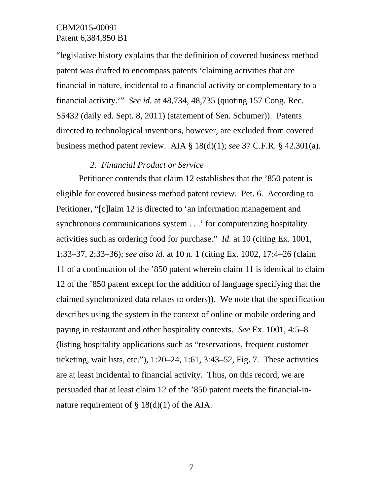"legislative history explains that the definition of covered business method patent was drafted to encompass patents 'claiming activities that are financial in nature, incidental to a financial activity or complementary to a financial activity.'" *See id.* at 48,734, 48,735 (quoting 157 Cong. Rec. S5432 (daily ed. Sept. 8, 2011) (statement of Sen. Schumer)). Patents directed to technological inventions, however, are excluded from covered business method patent review. AIA § 18(d)(1); *see* 37 C.F.R. § 42.301(a).

### *2. Financial Product or Service*

Petitioner contends that claim 12 establishes that the '850 patent is eligible for covered business method patent review. Pet. 6. According to Petitioner, "[c]laim 12 is directed to 'an information management and synchronous communications system . . .' for computerizing hospitality activities such as ordering food for purchase." *Id.* at 10 (citing Ex. 1001, 1:33–37, 2:33–36); *see also id.* at 10 n. 1 (citing Ex. 1002, 17:4–26 (claim 11 of a continuation of the '850 patent wherein claim 11 is identical to claim 12 of the '850 patent except for the addition of language specifying that the claimed synchronized data relates to orders)). We note that the specification describes using the system in the context of online or mobile ordering and paying in restaurant and other hospitality contexts. *See* Ex. 1001, 4:5–8 (listing hospitality applications such as "reservations, frequent customer ticketing, wait lists, etc."), 1:20–24, 1:61, 3:43–52, Fig. 7. These activities are at least incidental to financial activity. Thus, on this record, we are persuaded that at least claim 12 of the '850 patent meets the financial-innature requirement of  $\S 18(d)(1)$  of the AIA.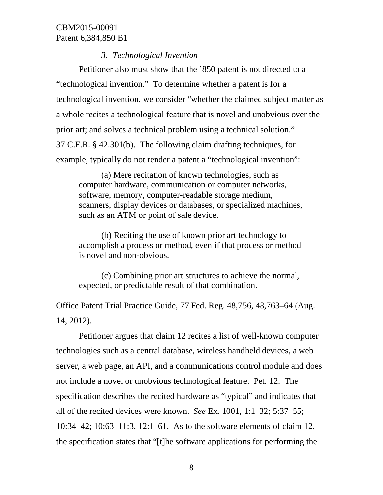### *3. Technological Invention*

Petitioner also must show that the '850 patent is not directed to a "technological invention." To determine whether a patent is for a technological invention, we consider "whether the claimed subject matter as a whole recites a technological feature that is novel and unobvious over the prior art; and solves a technical problem using a technical solution." 37 C.F.R. § 42.301(b). The following claim drafting techniques, for example, typically do not render a patent a "technological invention":

(a) Mere recitation of known technologies, such as computer hardware, communication or computer networks, software, memory, computer-readable storage medium, scanners, display devices or databases, or specialized machines, such as an ATM or point of sale device.

(b) Reciting the use of known prior art technology to accomplish a process or method, even if that process or method is novel and non-obvious.

(c) Combining prior art structures to achieve the normal, expected, or predictable result of that combination.

Office Patent Trial Practice Guide, 77 Fed. Reg. 48,756, 48,763–64 (Aug. 14, 2012).

Petitioner argues that claim 12 recites a list of well-known computer technologies such as a central database, wireless handheld devices, a web server, a web page, an API, and a communications control module and does not include a novel or unobvious technological feature. Pet. 12. The specification describes the recited hardware as "typical" and indicates that all of the recited devices were known. *See* Ex. 1001, 1:1–32; 5:37–55; 10:34–42; 10:63–11:3, 12:1–61. As to the software elements of claim 12, the specification states that "[t]he software applications for performing the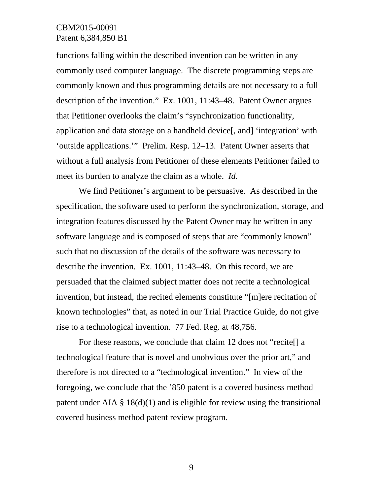functions falling within the described invention can be written in any commonly used computer language. The discrete programming steps are commonly known and thus programming details are not necessary to a full description of the invention."Ex. 1001, 11:43–48. Patent Owner argues that Petitioner overlooks the claim's "synchronization functionality, application and data storage on a handheld device[, and] 'integration' with 'outside applications.'" Prelim. Resp. 12–13. Patent Owner asserts that without a full analysis from Petitioner of these elements Petitioner failed to meet its burden to analyze the claim as a whole. *Id.*

We find Petitioner's argument to be persuasive. As described in the specification, the software used to perform the synchronization, storage, and integration features discussed by the Patent Owner may be written in any software language and is composed of steps that are "commonly known" such that no discussion of the details of the software was necessary to describe the invention. Ex. 1001, 11:43–48. On this record, we are persuaded that the claimed subject matter does not recite a technological invention, but instead, the recited elements constitute "[m]ere recitation of known technologies" that, as noted in our Trial Practice Guide, do not give rise to a technological invention. 77 Fed. Reg. at 48,756.

For these reasons, we conclude that claim 12 does not "recite[] a technological feature that is novel and unobvious over the prior art," and therefore is not directed to a "technological invention." In view of the foregoing, we conclude that the '850 patent is a covered business method patent under AIA  $\S$  18(d)(1) and is eligible for review using the transitional covered business method patent review program.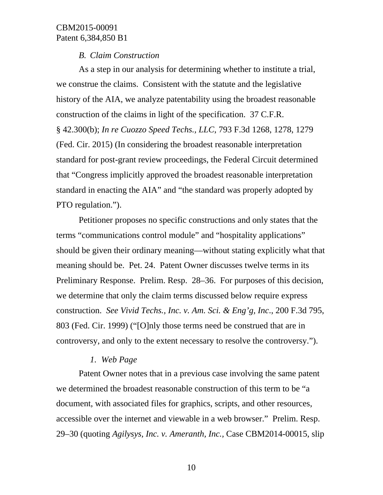### *B. Claim Construction*

As a step in our analysis for determining whether to institute a trial, we construe the claims. Consistent with the statute and the legislative history of the AIA, we analyze patentability using the broadest reasonable construction of the claims in light of the specification. 37 C.F.R. § 42.300(b); *In re Cuozzo Speed Techs., LLC*, 793 F.3d 1268, 1278, 1279 (Fed. Cir. 2015) (In considering the broadest reasonable interpretation standard for post-grant review proceedings, the Federal Circuit determined that "Congress implicitly approved the broadest reasonable interpretation standard in enacting the AIA" and "the standard was properly adopted by PTO regulation.").

Petitioner proposes no specific constructions and only states that the terms "communications control module" and "hospitality applications" should be given their ordinary meaning—without stating explicitly what that meaning should be. Pet. 24. Patent Owner discusses twelve terms in its Preliminary Response. Prelim. Resp. 28–36. For purposes of this decision, we determine that only the claim terms discussed below require express construction. *See Vivid Techs., Inc. v. Am. Sci. & Eng'g, Inc*., 200 F.3d 795, 803 (Fed. Cir. 1999) ("[O]nly those terms need be construed that are in controversy, and only to the extent necessary to resolve the controversy.").

### *1. Web Page*

Patent Owner notes that in a previous case involving the same patent we determined the broadest reasonable construction of this term to be "a document, with associated files for graphics, scripts, and other resources, accessible over the internet and viewable in a web browser." Prelim. Resp. 29–30 (quoting *Agilysys, Inc. v. Ameranth, Inc.,* Case CBM2014-00015, slip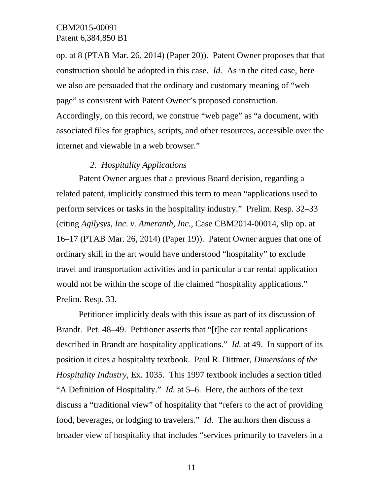op. at 8 (PTAB Mar. 26, 2014) (Paper 20)). Patent Owner proposes that that construction should be adopted in this case. *Id.* As in the cited case, here we also are persuaded that the ordinary and customary meaning of "web page" is consistent with Patent Owner's proposed construction. Accordingly, on this record, we construe "web page" as "a document, with associated files for graphics, scripts, and other resources, accessible over the internet and viewable in a web browser."

### *2. Hospitality Applications*

Patent Owner argues that a previous Board decision, regarding a related patent, implicitly construed this term to mean "applications used to perform services or tasks in the hospitality industry." Prelim. Resp. 32–33 (citing *Agilysys, Inc. v. Ameranth, Inc.*, Case CBM2014-00014, slip op. at 16–17 (PTAB Mar. 26, 2014) (Paper 19)). Patent Owner argues that one of ordinary skill in the art would have understood "hospitality" to exclude travel and transportation activities and in particular a car rental application would not be within the scope of the claimed "hospitality applications." Prelim. Resp. 33.

Petitioner implicitly deals with this issue as part of its discussion of Brandt. Pet. 48–49. Petitioner asserts that "[t]he car rental applications described in Brandt are hospitality applications." *Id.* at 49. In support of its position it cites a hospitality textbook. Paul R. Dittmer, *Dimensions of the Hospitality Industry*, Ex. 1035. This 1997 textbook includes a section titled "A Definition of Hospitality." *Id.* at 5–6. Here, the authors of the text discuss a "traditional view" of hospitality that "refers to the act of providing food, beverages, or lodging to travelers." *Id*. The authors then discuss a broader view of hospitality that includes "services primarily to travelers in a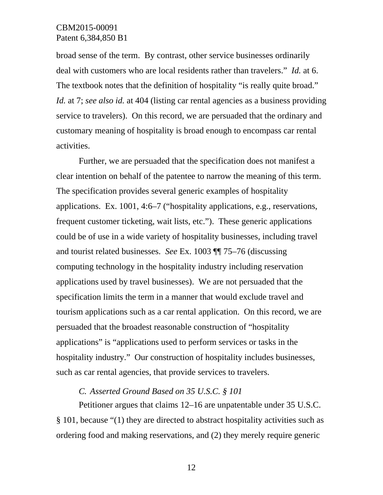broad sense of the term. By contrast, other service businesses ordinarily deal with customers who are local residents rather than travelers." *Id.* at 6. The textbook notes that the definition of hospitality "is really quite broad." *Id.* at 7; *see also id.* at 404 (listing car rental agencies as a business providing service to travelers). On this record, we are persuaded that the ordinary and customary meaning of hospitality is broad enough to encompass car rental activities.

Further, we are persuaded that the specification does not manifest a clear intention on behalf of the patentee to narrow the meaning of this term. The specification provides several generic examples of hospitality applications. Ex. 1001, 4:6–7 ("hospitality applications, e.g., reservations, frequent customer ticketing, wait lists, etc."). These generic applications could be of use in a wide variety of hospitality businesses, including travel and tourist related businesses. *See* Ex. 1003 ¶¶ 75–76 (discussing computing technology in the hospitality industry including reservation applications used by travel businesses). We are not persuaded that the specification limits the term in a manner that would exclude travel and tourism applications such as a car rental application. On this record, we are persuaded that the broadest reasonable construction of "hospitality applications" is "applications used to perform services or tasks in the hospitality industry." Our construction of hospitality includes businesses, such as car rental agencies, that provide services to travelers.

### *C. Asserted Ground Based on 35 U.S.C. § 101*

Petitioner argues that claims 12–16 are unpatentable under 35 U.S.C. § 101, because "(1) they are directed to abstract hospitality activities such as ordering food and making reservations, and (2) they merely require generic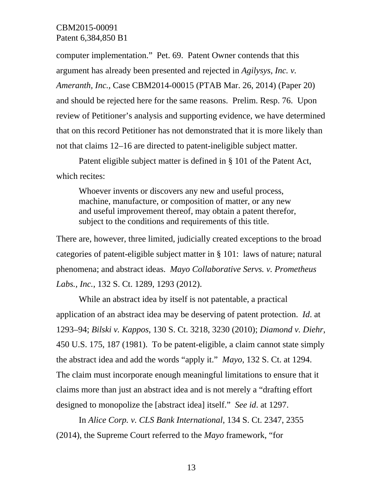computer implementation." Pet. 69. Patent Owner contends that this argument has already been presented and rejected in *Agilysys, Inc. v. Ameranth, Inc.,* Case CBM2014-00015 (PTAB Mar. 26, 2014) (Paper 20) and should be rejected here for the same reasons. Prelim. Resp. 76. Upon review of Petitioner's analysis and supporting evidence, we have determined that on this record Petitioner has not demonstrated that it is more likely than not that claims 12–16 are directed to patent-ineligible subject matter.

Patent eligible subject matter is defined in § 101 of the Patent Act, which recites:

Whoever invents or discovers any new and useful process, machine, manufacture, or composition of matter, or any new and useful improvement thereof, may obtain a patent therefor, subject to the conditions and requirements of this title.

There are, however, three limited, judicially created exceptions to the broad categories of patent-eligible subject matter in § 101: laws of nature; natural phenomena; and abstract ideas. *Mayo Collaborative Servs. v. Prometheus Labs., Inc.*, 132 S. Ct. 1289, 1293 (2012).

While an abstract idea by itself is not patentable, a practical application of an abstract idea may be deserving of patent protection. *Id*. at 1293–94; *Bilski v. Kappos*, 130 S. Ct. 3218, 3230 (2010); *Diamond v. Diehr*, 450 U.S. 175, 187 (1981). To be patent-eligible, a claim cannot state simply the abstract idea and add the words "apply it." *Mayo*, 132 S. Ct. at 1294. The claim must incorporate enough meaningful limitations to ensure that it claims more than just an abstract idea and is not merely a "drafting effort designed to monopolize the [abstract idea] itself." *See id*. at 1297.

In *Alice Corp. v. CLS Bank International*, 134 S. Ct. 2347, 2355 (2014), the Supreme Court referred to the *Mayo* framework, "for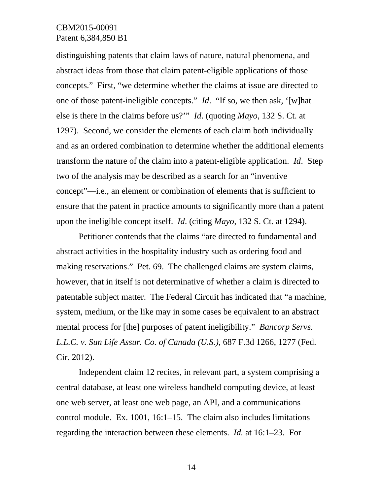distinguishing patents that claim laws of nature, natural phenomena, and abstract ideas from those that claim patent-eligible applications of those concepts." First, "we determine whether the claims at issue are directed to one of those patent-ineligible concepts." *Id*. "If so, we then ask, '[w]hat else is there in the claims before us?'" *Id*. (quoting *Mayo*, 132 S. Ct. at 1297). Second, we consider the elements of each claim both individually and as an ordered combination to determine whether the additional elements transform the nature of the claim into a patent-eligible application. *Id*. Step two of the analysis may be described as a search for an "inventive concept"—i.e., an element or combination of elements that is sufficient to ensure that the patent in practice amounts to significantly more than a patent upon the ineligible concept itself. *Id*. (citing *Mayo*, 132 S. Ct. at 1294).

Petitioner contends that the claims "are directed to fundamental and abstract activities in the hospitality industry such as ordering food and making reservations." Pet. 69. The challenged claims are system claims, however, that in itself is not determinative of whether a claim is directed to patentable subject matter. The Federal Circuit has indicated that "a machine, system, medium, or the like may in some cases be equivalent to an abstract mental process for [the] purposes of patent ineligibility." *Bancorp Servs. L.L.C. v. Sun Life Assur. Co. of Canada (U.S.),* 687 F.3d 1266, 1277 (Fed. Cir. 2012).

Independent claim 12 recites, in relevant part, a system comprising a central database, at least one wireless handheld computing device, at least one web server, at least one web page, an API, and a communications control module. Ex. 1001, 16:1–15. The claim also includes limitations regarding the interaction between these elements. *Id.* at 16:1–23. For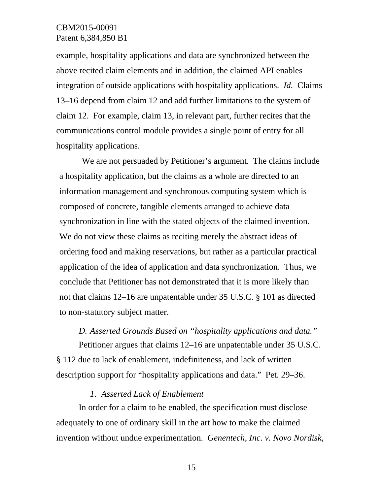example, hospitality applications and data are synchronized between the above recited claim elements and in addition, the claimed API enables integration of outside applications with hospitality applications. *Id.* Claims 13–16 depend from claim 12 and add further limitations to the system of claim 12. For example, claim 13, in relevant part, further recites that the communications control module provides a single point of entry for all hospitality applications.

We are not persuaded by Petitioner's argument. The claims include a hospitality application, but the claims as a whole are directed to an information management and synchronous computing system which is composed of concrete, tangible elements arranged to achieve data synchronization in line with the stated objects of the claimed invention. We do not view these claims as reciting merely the abstract ideas of ordering food and making reservations, but rather as a particular practical application of the idea of application and data synchronization. Thus, we conclude that Petitioner has not demonstrated that it is more likely than not that claims 12–16 are unpatentable under 35 U.S.C. § 101 as directed to non-statutory subject matter.

*D. Asserted Grounds Based on "hospitality applications and data."* 

Petitioner argues that claims 12–16 are unpatentable under 35 U.S.C. § 112 due to lack of enablement, indefiniteness, and lack of written description support for "hospitality applications and data." Pet. 29–36.

### *1. Asserted Lack of Enablement*

In order for a claim to be enabled, the specification must disclose adequately to one of ordinary skill in the art how to make the claimed invention without undue experimentation. *Genentech, Inc. v. Novo Nordisk,*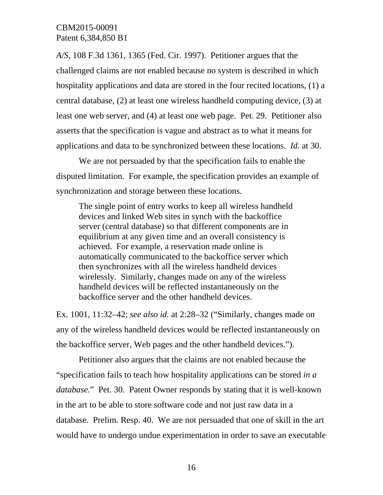*A/S*, 108 F.3d 1361, 1365 (Fed. Cir. 1997). Petitioner argues that the challenged claims are not enabled because no system is described in which hospitality applications and data are stored in the four recited locations, (1) a central database, (2) at least one wireless handheld computing device, (3) at least one web server, and (4) at least one web page. Pet. 29. Petitioner also asserts that the specification is vague and abstract as to what it means for applications and data to be synchronized between these locations. *Id.* at 30.

We are not persuaded by that the specification fails to enable the disputed limitation. For example, the specification provides an example of synchronization and storage between these locations.

The single point of entry works to keep all wireless handheld devices and linked Web sites in synch with the backoffice server (central database) so that different components are in equilibrium at any given time and an overall consistency is achieved. For example, a reservation made online is automatically communicated to the backoffice server which then synchronizes with all the wireless handheld devices wirelessly. Similarly, changes made on any of the wireless handheld devices will be reflected instantaneously on the backoffice server and the other handheld devices.

Ex. 1001, 11:32–42; *see also id.* at 2:28–32 ("Similarly, changes made on any of the wireless handheld devices would be reflected instantaneously on the backoffice server, Web pages and the other handheld devices.").

Petitioner also argues that the claims are not enabled because the "specification fails to teach how hospitality applications can be stored *in a database.*" Pet. 30. Patent Owner responds by stating that it is well-known in the art to be able to store software code and not just raw data in a database. Prelim. Resp. 40. We are not persuaded that one of skill in the art would have to undergo undue experimentation in order to save an executable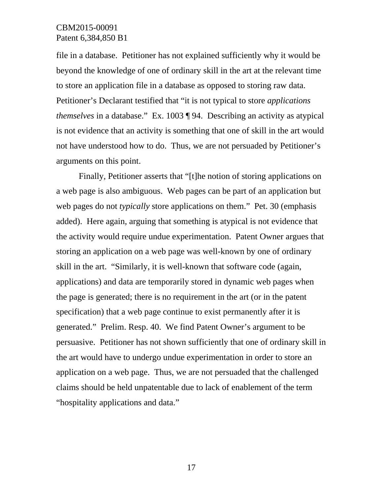file in a database. Petitioner has not explained sufficiently why it would be beyond the knowledge of one of ordinary skill in the art at the relevant time to store an application file in a database as opposed to storing raw data. Petitioner's Declarant testified that "it is not typical to store *applications themselves* in a database." Ex. 1003 ¶ 94. Describing an activity as atypical is not evidence that an activity is something that one of skill in the art would not have understood how to do. Thus, we are not persuaded by Petitioner's arguments on this point.

Finally, Petitioner asserts that "[t]he notion of storing applications on a web page is also ambiguous. Web pages can be part of an application but web pages do not *typically* store applications on them." Pet. 30 (emphasis added). Here again, arguing that something is atypical is not evidence that the activity would require undue experimentation. Patent Owner argues that storing an application on a web page was well-known by one of ordinary skill in the art. "Similarly, it is well-known that software code (again, applications) and data are temporarily stored in dynamic web pages when the page is generated; there is no requirement in the art (or in the patent specification) that a web page continue to exist permanently after it is generated." Prelim. Resp. 40. We find Patent Owner's argument to be persuasive. Petitioner has not shown sufficiently that one of ordinary skill in the art would have to undergo undue experimentation in order to store an application on a web page. Thus, we are not persuaded that the challenged claims should be held unpatentable due to lack of enablement of the term "hospitality applications and data."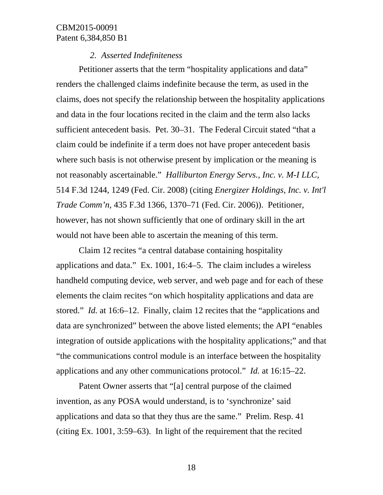### *2. Asserted Indefiniteness*

Petitioner asserts that the term "hospitality applications and data" renders the challenged claims indefinite because the term, as used in the claims, does not specify the relationship between the hospitality applications and data in the four locations recited in the claim and the term also lacks sufficient antecedent basis. Pet. 30–31. The Federal Circuit stated "that a claim could be indefinite if a term does not have proper antecedent basis where such basis is not otherwise present by implication or the meaning is not reasonably ascertainable." *Halliburton Energy Servs., Inc. v. M-I LLC*, 514 F.3d 1244, 1249 (Fed. Cir. 2008) (citing *Energizer Holdings, Inc. v. Int'l Trade Comm'n*, 435 F.3d 1366, 1370–71 (Fed. Cir. 2006)). Petitioner, however, has not shown sufficiently that one of ordinary skill in the art would not have been able to ascertain the meaning of this term.

Claim 12 recites "a central database containing hospitality applications and data." Ex. 1001, 16:4–5. The claim includes a wireless handheld computing device, web server, and web page and for each of these elements the claim recites "on which hospitality applications and data are stored." *Id.* at 16:6–12. Finally, claim 12 recites that the "applications and data are synchronized" between the above listed elements; the API "enables integration of outside applications with the hospitality applications;" and that "the communications control module is an interface between the hospitality applications and any other communications protocol." *Id.* at 16:15–22.

Patent Owner asserts that "[a] central purpose of the claimed invention, as any POSA would understand, is to 'synchronize' said applications and data so that they thus are the same." Prelim. Resp. 41 (citing Ex. 1001, 3:59–63). In light of the requirement that the recited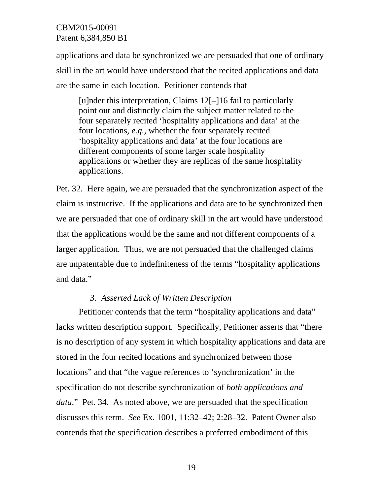applications and data be synchronized we are persuaded that one of ordinary skill in the art would have understood that the recited applications and data are the same in each location. Petitioner contends that

[u]nder this interpretation, Claims 12[–]16 fail to particularly point out and distinctly claim the subject matter related to the four separately recited 'hospitality applications and data' at the four locations, *e.g.*, whether the four separately recited 'hospitality applications and data' at the four locations are different components of some larger scale hospitality applications or whether they are replicas of the same hospitality applications.

Pet. 32. Here again, we are persuaded that the synchronization aspect of the claim is instructive. If the applications and data are to be synchronized then we are persuaded that one of ordinary skill in the art would have understood that the applications would be the same and not different components of a larger application. Thus, we are not persuaded that the challenged claims are unpatentable due to indefiniteness of the terms "hospitality applications and data."

### *3. Asserted Lack of Written Description*

Petitioner contends that the term "hospitality applications and data" lacks written description support. Specifically, Petitioner asserts that "there is no description of any system in which hospitality applications and data are stored in the four recited locations and synchronized between those locations" and that "the vague references to 'synchronization' in the specification do not describe synchronization of *both applications and data*." Pet. 34. As noted above, we are persuaded that the specification discusses this term. *See* Ex. 1001, 11:32–42; 2:28–32. Patent Owner also contends that the specification describes a preferred embodiment of this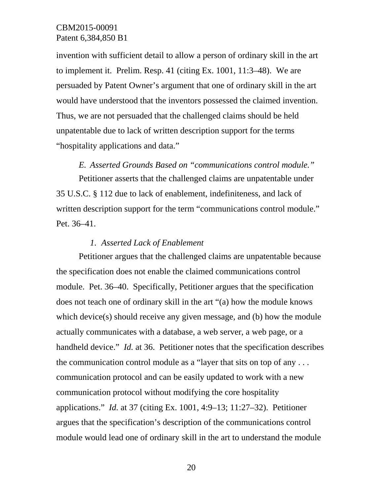invention with sufficient detail to allow a person of ordinary skill in the art to implement it. Prelim. Resp. 41 (citing Ex. 1001, 11:3–48). We are persuaded by Patent Owner's argument that one of ordinary skill in the art would have understood that the inventors possessed the claimed invention. Thus, we are not persuaded that the challenged claims should be held unpatentable due to lack of written description support for the terms "hospitality applications and data."

# *E. Asserted Grounds Based on "communications control module."*

Petitioner asserts that the challenged claims are unpatentable under 35 U.S.C. § 112 due to lack of enablement, indefiniteness, and lack of written description support for the term "communications control module." Pet. 36–41.

#### *1. Asserted Lack of Enablement*

Petitioner argues that the challenged claims are unpatentable because the specification does not enable the claimed communications control module. Pet. 36–40. Specifically, Petitioner argues that the specification does not teach one of ordinary skill in the art "(a) how the module knows which device(s) should receive any given message, and (b) how the module actually communicates with a database, a web server, a web page, or a handheld device." *Id.* at 36. Petitioner notes that the specification describes the communication control module as a "layer that sits on top of any  $\dots$ communication protocol and can be easily updated to work with a new communication protocol without modifying the core hospitality applications." *Id.* at 37 (citing Ex. 1001, 4:9–13; 11:27–32). Petitioner argues that the specification's description of the communications control module would lead one of ordinary skill in the art to understand the module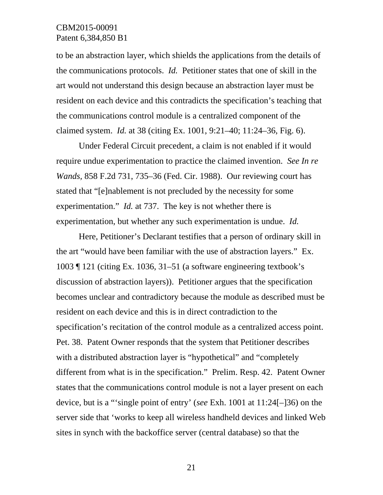to be an abstraction layer, which shields the applications from the details of the communications protocols. *Id.* Petitioner states that one of skill in the art would not understand this design because an abstraction layer must be resident on each device and this contradicts the specification's teaching that the communications control module is a centralized component of the claimed system. *Id.* at 38 (citing Ex. 1001, 9:21–40; 11:24–36, Fig. 6).

Under Federal Circuit precedent, a claim is not enabled if it would require undue experimentation to practice the claimed invention. *See In re Wands,* 858 F.2d 731, 735–36 (Fed. Cir. 1988). Our reviewing court has stated that "[e]nablement is not precluded by the necessity for some experimentation." *Id.* at 737. The key is not whether there is experimentation, but whether any such experimentation is undue. *Id.*

Here, Petitioner's Declarant testifies that a person of ordinary skill in the art "would have been familiar with the use of abstraction layers." Ex. 1003 ¶ 121 (citing Ex. 1036, 31–51 (a software engineering textbook's discussion of abstraction layers)). Petitioner argues that the specification becomes unclear and contradictory because the module as described must be resident on each device and this is in direct contradiction to the specification's recitation of the control module as a centralized access point. Pet. 38. Patent Owner responds that the system that Petitioner describes with a distributed abstraction layer is "hypothetical" and "completely different from what is in the specification." Prelim. Resp. 42. Patent Owner states that the communications control module is not a layer present on each device, but is a "'single point of entry' (*see* Exh. 1001 at 11:24[–]36) on the server side that 'works to keep all wireless handheld devices and linked Web sites in synch with the backoffice server (central database) so that the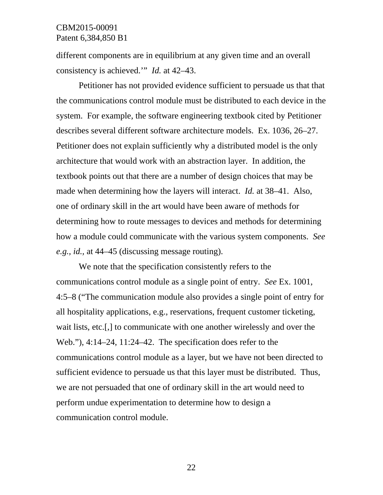different components are in equilibrium at any given time and an overall consistency is achieved.'" *Id.* at 42–43.

Petitioner has not provided evidence sufficient to persuade us that that the communications control module must be distributed to each device in the system. For example, the software engineering textbook cited by Petitioner describes several different software architecture models. Ex. 1036, 26–27. Petitioner does not explain sufficiently why a distributed model is the only architecture that would work with an abstraction layer. In addition, the textbook points out that there are a number of design choices that may be made when determining how the layers will interact. *Id.* at 38–41. Also, one of ordinary skill in the art would have been aware of methods for determining how to route messages to devices and methods for determining how a module could communicate with the various system components. *See e.g., id.,* at 44–45 (discussing message routing).

We note that the specification consistently refers to the communications control module as a single point of entry. *See* Ex. 1001, 4:5–8 ("The communication module also provides a single point of entry for all hospitality applications, e.g., reservations, frequent customer ticketing, wait lists, etc.[,] to communicate with one another wirelessly and over the Web."), 4:14–24, 11:24–42. The specification does refer to the communications control module as a layer, but we have not been directed to sufficient evidence to persuade us that this layer must be distributed. Thus, we are not persuaded that one of ordinary skill in the art would need to perform undue experimentation to determine how to design a communication control module.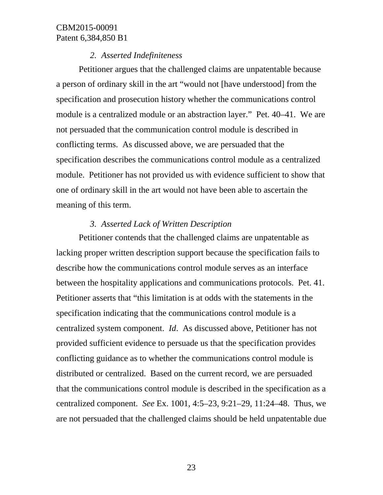### *2. Asserted Indefiniteness*

Petitioner argues that the challenged claims are unpatentable because a person of ordinary skill in the art "would not [have understood] from the specification and prosecution history whether the communications control module is a centralized module or an abstraction layer." Pet. 40–41. We are not persuaded that the communication control module is described in conflicting terms. As discussed above, we are persuaded that the specification describes the communications control module as a centralized module. Petitioner has not provided us with evidence sufficient to show that one of ordinary skill in the art would not have been able to ascertain the meaning of this term.

## *3. Asserted Lack of Written Description*

Petitioner contends that the challenged claims are unpatentable as lacking proper written description support because the specification fails to describe how the communications control module serves as an interface between the hospitality applications and communications protocols. Pet. 41. Petitioner asserts that "this limitation is at odds with the statements in the specification indicating that the communications control module is a centralized system component. *Id*. As discussed above, Petitioner has not provided sufficient evidence to persuade us that the specification provides conflicting guidance as to whether the communications control module is distributed or centralized. Based on the current record, we are persuaded that the communications control module is described in the specification as a centralized component. *See* Ex. 1001, 4:5–23, 9:21–29, 11:24–48. Thus, we are not persuaded that the challenged claims should be held unpatentable due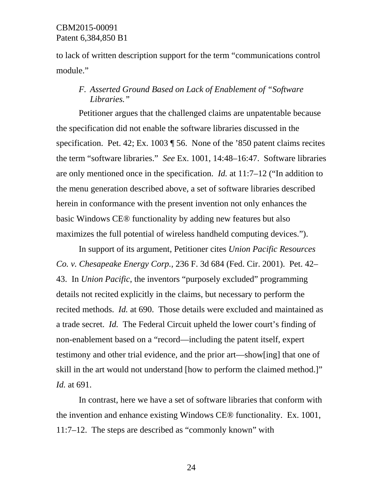to lack of written description support for the term "communications control module."

# *F. Asserted Ground Based on Lack of Enablement of "Software Libraries."*

Petitioner argues that the challenged claims are unpatentable because the specification did not enable the software libraries discussed in the specification. Pet. 42; Ex. 1003 ¶ 56. None of the '850 patent claims recites the term "software libraries." *See* Ex. 1001, 14:48–16:47. Software libraries are only mentioned once in the specification. *Id.* at 11:7–12 ("In addition to the menu generation described above, a set of software libraries described herein in conformance with the present invention not only enhances the basic Windows CE® functionality by adding new features but also maximizes the full potential of wireless handheld computing devices.").

In support of its argument, Petitioner cites *Union Pacific Resources Co. v. Chesapeake Energy Corp.,* 236 F. 3d 684 (Fed. Cir. 2001). Pet. 42– 43. In *Union Pacific*, the inventors "purposely excluded" programming details not recited explicitly in the claims, but necessary to perform the recited methods. *Id.* at 690. Those details were excluded and maintained as a trade secret. *Id.* The Federal Circuit upheld the lower court's finding of non-enablement based on a "record—including the patent itself, expert testimony and other trial evidence, and the prior art—show[ing] that one of skill in the art would not understand [how to perform the claimed method.]" *Id.* at 691.

In contrast, here we have a set of software libraries that conform with the invention and enhance existing Windows CE® functionality. Ex. 1001, 11:7–12. The steps are described as "commonly known" with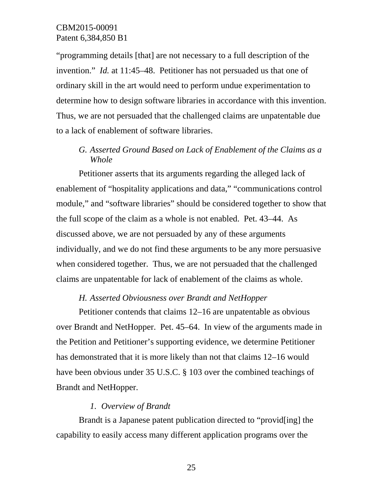"programming details [that] are not necessary to a full description of the invention." *Id.* at 11:45–48. Petitioner has not persuaded us that one of ordinary skill in the art would need to perform undue experimentation to determine how to design software libraries in accordance with this invention. Thus, we are not persuaded that the challenged claims are unpatentable due to a lack of enablement of software libraries.

# *G. Asserted Ground Based on Lack of Enablement of the Claims as a Whole*

Petitioner asserts that its arguments regarding the alleged lack of enablement of "hospitality applications and data," "communications control module," and "software libraries" should be considered together to show that the full scope of the claim as a whole is not enabled. Pet. 43–44. As discussed above, we are not persuaded by any of these arguments individually, and we do not find these arguments to be any more persuasive when considered together. Thus, we are not persuaded that the challenged claims are unpatentable for lack of enablement of the claims as whole.

## *H. Asserted Obviousness over Brandt and NetHopper*

Petitioner contends that claims 12–16 are unpatentable as obvious over Brandt and NetHopper. Pet. 45–64. In view of the arguments made in the Petition and Petitioner's supporting evidence, we determine Petitioner has demonstrated that it is more likely than not that claims 12–16 would have been obvious under 35 U.S.C. § 103 over the combined teachings of Brandt and NetHopper.

## *1. Overview of Brandt*

Brandt is a Japanese patent publication directed to "provid[ing] the capability to easily access many different application programs over the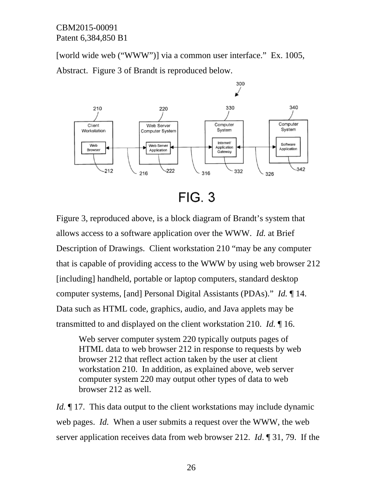[world wide web ("WWW")] via a common user interface." Ex. 1005, Abstract. Figure 3 of Brandt is reproduced below.



**FIG. 3** 

Figure 3, reproduced above, is a block diagram of Brandt's system that allows access to a software application over the WWW. *Id.* at Brief Description of Drawings. Client workstation 210 "may be any computer that is capable of providing access to the WWW by using web browser 212 [including] handheld, portable or laptop computers, standard desktop computer systems, [and] Personal Digital Assistants (PDAs)." *Id.* ¶ 14. Data such as HTML code, graphics, audio, and Java applets may be transmitted to and displayed on the client workstation 210. *Id.* ¶ 16.

Web server computer system 220 typically outputs pages of HTML data to web browser 212 in response to requests by web browser 212 that reflect action taken by the user at client workstation 210. In addition, as explained above, web server computer system 220 may output other types of data to web browser 212 as well.

*Id.* 17. This data output to the client workstations may include dynamic web pages. *Id.* When a user submits a request over the WWW, the web server application receives data from web browser 212. *Id*. ¶ 31, 79. If the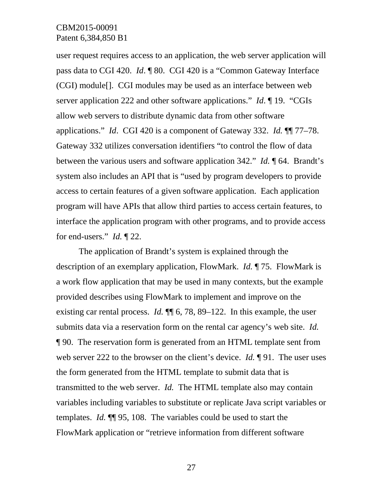user request requires access to an application, the web server application will pass data to CGI 420. *Id*. ¶ 80. CGI 420 is a "Common Gateway Interface (CGI) module[]. CGI modules may be used as an interface between web server application 222 and other software applications." *Id*. ¶ 19. "CGIs allow web servers to distribute dynamic data from other software applications." *Id*. CGI 420 is a component of Gateway 332. *Id.* ¶¶ 77–78. Gateway 332 utilizes conversation identifiers "to control the flow of data between the various users and software application 342." *Id.* ¶ 64. Brandt's system also includes an API that is "used by program developers to provide access to certain features of a given software application. Each application program will have APIs that allow third parties to access certain features, to interface the application program with other programs, and to provide access for end-users." *Id.* ¶ 22.

The application of Brandt's system is explained through the description of an exemplary application, FlowMark. *Id.* ¶ 75. FlowMark is a work flow application that may be used in many contexts, but the example provided describes using FlowMark to implement and improve on the existing car rental process. *Id.* ¶¶ 6, 78, 89–122. In this example, the user submits data via a reservation form on the rental car agency's web site. *Id.* ¶ 90. The reservation form is generated from an HTML template sent from web server 222 to the browser on the client's device. *Id.* ¶ 91. The user uses the form generated from the HTML template to submit data that is transmitted to the web server. *Id.* The HTML template also may contain variables including variables to substitute or replicate Java script variables or templates. *Id.* ¶¶ 95, 108. The variables could be used to start the FlowMark application or "retrieve information from different software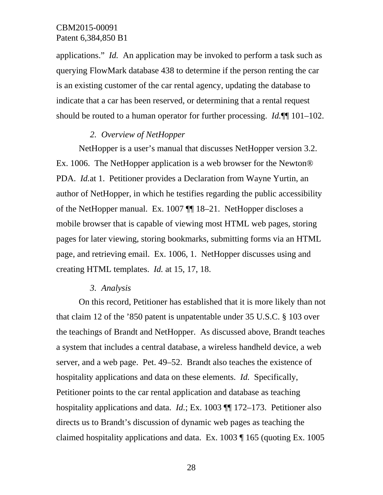applications." *Id.* An application may be invoked to perform a task such as querying FlowMark database 438 to determine if the person renting the car is an existing customer of the car rental agency, updating the database to indicate that a car has been reserved, or determining that a rental request should be routed to a human operator for further processing. *Id.*¶¶ 101–102.

### *2. Overview of NetHopper*

NetHopper is a user's manual that discusses NetHopper version 3.2. Ex. 1006. The NetHopper application is a web browser for the Newton® PDA. *Id.*at 1. Petitioner provides a Declaration from Wayne Yurtin, an author of NetHopper, in which he testifies regarding the public accessibility of the NetHopper manual. Ex. 1007 ¶¶ 18–21. NetHopper discloses a mobile browser that is capable of viewing most HTML web pages, storing pages for later viewing, storing bookmarks, submitting forms via an HTML page, and retrieving email. Ex. 1006, 1. NetHopper discusses using and creating HTML templates. *Id.* at 15, 17, 18.

#### *3. Analysis*

On this record, Petitioner has established that it is more likely than not that claim 12 of the '850 patent is unpatentable under 35 U.S.C. § 103 over the teachings of Brandt and NetHopper. As discussed above, Brandt teaches a system that includes a central database, a wireless handheld device, a web server, and a web page. Pet. 49–52. Brandt also teaches the existence of hospitality applications and data on these elements. *Id.* Specifically, Petitioner points to the car rental application and database as teaching hospitality applications and data. *Id.*; Ex. 1003 ¶¶ 172–173. Petitioner also directs us to Brandt's discussion of dynamic web pages as teaching the claimed hospitality applications and data. Ex. 1003 ¶ 165 (quoting Ex. 1005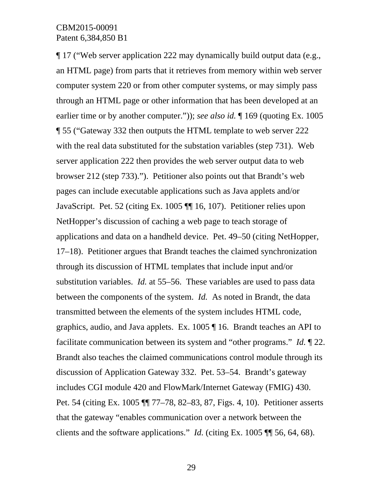¶ 17 ("Web server application 222 may dynamically build output data (e.g., an HTML page) from parts that it retrieves from memory within web server computer system 220 or from other computer systems, or may simply pass through an HTML page or other information that has been developed at an earlier time or by another computer.")); *see also id.* ¶ 169 (quoting Ex. 1005 ¶ 55 ("Gateway 332 then outputs the HTML template to web server 222 with the real data substituted for the substation variables (step 731). Web server application 222 then provides the web server output data to web browser 212 (step 733)."). Petitioner also points out that Brandt's web pages can include executable applications such as Java applets and/or JavaScript. Pet. 52 (citing Ex. 1005 ¶¶ 16, 107). Petitioner relies upon NetHopper's discussion of caching a web page to teach storage of applications and data on a handheld device. Pet. 49–50 (citing NetHopper, 17–18). Petitioner argues that Brandt teaches the claimed synchronization through its discussion of HTML templates that include input and/or substitution variables. *Id.* at 55–56. These variables are used to pass data between the components of the system. *Id.* As noted in Brandt, the data transmitted between the elements of the system includes HTML code, graphics, audio, and Java applets. Ex. 1005 ¶ 16. Brandt teaches an API to facilitate communication between its system and "other programs." *Id.* ¶ 22. Brandt also teaches the claimed communications control module through its discussion of Application Gateway 332. Pet. 53–54. Brandt's gateway includes CGI module 420 and FlowMark/Internet Gateway (FMIG) 430. Pet. 54 (citing Ex. 1005 ¶¶ 77–78, 82–83, 87, Figs. 4, 10). Petitioner asserts that the gateway "enables communication over a network between the clients and the software applications." *Id.* (citing Ex. 1005 ¶¶ 56, 64, 68).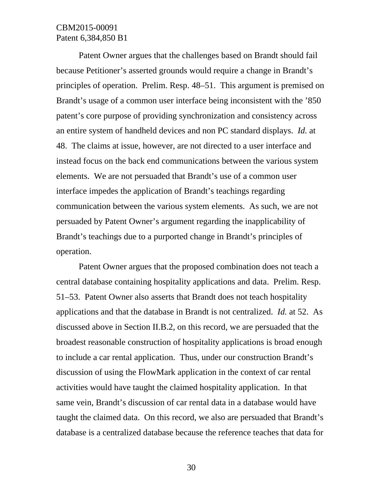Patent Owner argues that the challenges based on Brandt should fail because Petitioner's asserted grounds would require a change in Brandt's principles of operation. Prelim. Resp. 48–51. This argument is premised on Brandt's usage of a common user interface being inconsistent with the '850 patent's core purpose of providing synchronization and consistency across an entire system of handheld devices and non PC standard displays. *Id.* at 48. The claims at issue, however, are not directed to a user interface and instead focus on the back end communications between the various system elements. We are not persuaded that Brandt's use of a common user interface impedes the application of Brandt's teachings regarding communication between the various system elements. As such, we are not persuaded by Patent Owner's argument regarding the inapplicability of Brandt's teachings due to a purported change in Brandt's principles of operation.

Patent Owner argues that the proposed combination does not teach a central database containing hospitality applications and data. Prelim. Resp. 51–53. Patent Owner also asserts that Brandt does not teach hospitality applications and that the database in Brandt is not centralized. *Id.* at 52. As discussed above in Section II.B.2, on this record, we are persuaded that the broadest reasonable construction of hospitality applications is broad enough to include a car rental application. Thus, under our construction Brandt's discussion of using the FlowMark application in the context of car rental activities would have taught the claimed hospitality application. In that same vein, Brandt's discussion of car rental data in a database would have taught the claimed data. On this record, we also are persuaded that Brandt's database is a centralized database because the reference teaches that data for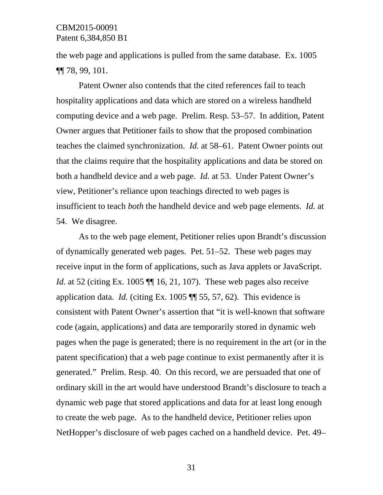the web page and applications is pulled from the same database. Ex. 1005 ¶¶ 78, 99, 101.

Patent Owner also contends that the cited references fail to teach hospitality applications and data which are stored on a wireless handheld computing device and a web page. Prelim. Resp. 53–57. In addition, Patent Owner argues that Petitioner fails to show that the proposed combination teaches the claimed synchronization. *Id.* at 58–61. Patent Owner points out that the claims require that the hospitality applications and data be stored on both a handheld device and a web page. *Id.* at 53. Under Patent Owner's view, Petitioner's reliance upon teachings directed to web pages is insufficient to teach *both* the handheld device and web page elements. *Id.* at 54. We disagree.

As to the web page element, Petitioner relies upon Brandt's discussion of dynamically generated web pages. Pet. 51–52. These web pages may receive input in the form of applications, such as Java applets or JavaScript. *Id.* at 52 (citing Ex. 1005  $\P$  16, 21, 107). These web pages also receive application data. *Id.* (citing Ex. 1005 ¶¶ 55, 57, 62). This evidence is consistent with Patent Owner's assertion that "it is well-known that software code (again, applications) and data are temporarily stored in dynamic web pages when the page is generated; there is no requirement in the art (or in the patent specification) that a web page continue to exist permanently after it is generated." Prelim. Resp. 40. On this record, we are persuaded that one of ordinary skill in the art would have understood Brandt's disclosure to teach a dynamic web page that stored applications and data for at least long enough to create the web page. As to the handheld device, Petitioner relies upon NetHopper's disclosure of web pages cached on a handheld device. Pet. 49–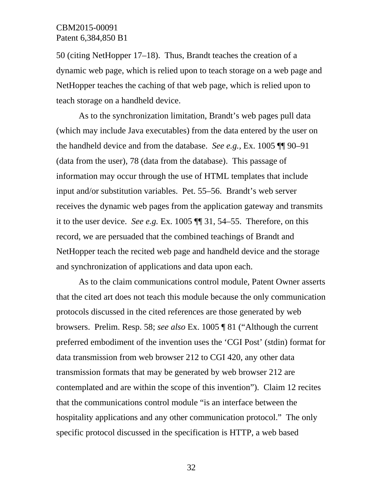50 (citing NetHopper 17–18). Thus, Brandt teaches the creation of a dynamic web page, which is relied upon to teach storage on a web page and NetHopper teaches the caching of that web page, which is relied upon to teach storage on a handheld device.

As to the synchronization limitation, Brandt's web pages pull data (which may include Java executables) from the data entered by the user on the handheld device and from the database. *See e.g.,* Ex. 1005 ¶¶ 90–91 (data from the user), 78 (data from the database). This passage of information may occur through the use of HTML templates that include input and/or substitution variables. Pet. 55–56. Brandt's web server receives the dynamic web pages from the application gateway and transmits it to the user device. *See e.g.* Ex. 1005 ¶¶ 31, 54–55. Therefore, on this record, we are persuaded that the combined teachings of Brandt and NetHopper teach the recited web page and handheld device and the storage and synchronization of applications and data upon each.

As to the claim communications control module, Patent Owner asserts that the cited art does not teach this module because the only communication protocols discussed in the cited references are those generated by web browsers. Prelim. Resp. 58; *see also* Ex. 1005 ¶ 81 ("Although the current preferred embodiment of the invention uses the 'CGI Post' (stdin) format for data transmission from web browser 212 to CGI 420, any other data transmission formats that may be generated by web browser 212 are contemplated and are within the scope of this invention"). Claim 12 recites that the communications control module "is an interface between the hospitality applications and any other communication protocol." The only specific protocol discussed in the specification is HTTP, a web based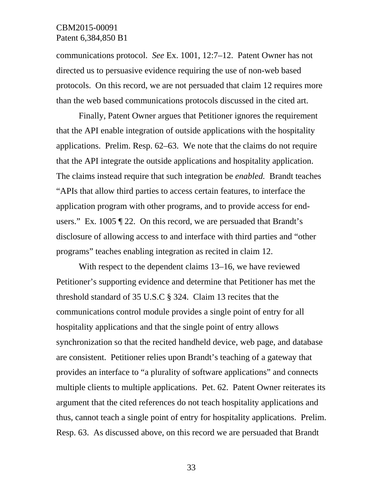communications protocol. *See* Ex. 1001, 12:7–12. Patent Owner has not directed us to persuasive evidence requiring the use of non-web based protocols. On this record, we are not persuaded that claim 12 requires more than the web based communications protocols discussed in the cited art.

Finally, Patent Owner argues that Petitioner ignores the requirement that the API enable integration of outside applications with the hospitality applications. Prelim. Resp. 62–63. We note that the claims do not require that the API integrate the outside applications and hospitality application. The claims instead require that such integration be *enabled.* Brandt teaches "APIs that allow third parties to access certain features, to interface the application program with other programs, and to provide access for endusers." Ex*.* 1005 ¶ 22. On this record, we are persuaded that Brandt's disclosure of allowing access to and interface with third parties and "other programs" teaches enabling integration as recited in claim 12.

With respect to the dependent claims 13–16, we have reviewed Petitioner's supporting evidence and determine that Petitioner has met the threshold standard of 35 U.S.C § 324. Claim 13 recites that the communications control module provides a single point of entry for all hospitality applications and that the single point of entry allows synchronization so that the recited handheld device, web page, and database are consistent. Petitioner relies upon Brandt's teaching of a gateway that provides an interface to "a plurality of software applications" and connects multiple clients to multiple applications. Pet. 62. Patent Owner reiterates its argument that the cited references do not teach hospitality applications and thus, cannot teach a single point of entry for hospitality applications. Prelim. Resp. 63. As discussed above, on this record we are persuaded that Brandt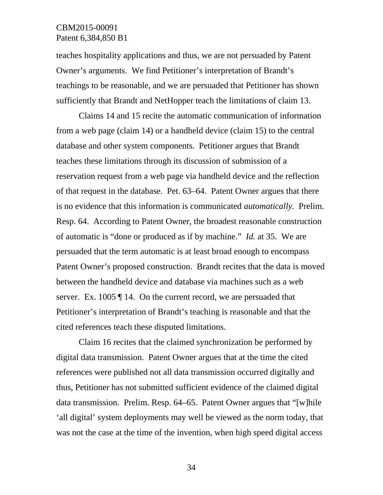teaches hospitality applications and thus, we are not persuaded by Patent Owner's arguments. We find Petitioner's interpretation of Brandt's teachings to be reasonable, and we are persuaded that Petitioner has shown sufficiently that Brandt and NetHopper teach the limitations of claim 13.

Claims 14 and 15 recite the automatic communication of information from a web page (claim 14) or a handheld device (claim 15) to the central database and other system components. Petitioner argues that Brandt teaches these limitations through its discussion of submission of a reservation request from a web page via handheld device and the reflection of that request in the database. Pet. 63–64. Patent Owner argues that there is no evidence that this information is communicated *automatically.* Prelim. Resp. 64. According to Patent Owner, the broadest reasonable construction of automatic is "done or produced as if by machine." *Id.* at 35. We are persuaded that the term automatic is at least broad enough to encompass Patent Owner's proposed construction. Brandt recites that the data is moved between the handheld device and database via machines such as a web server. Ex. 1005  $\P$  14. On the current record, we are persuaded that Petitioner's interpretation of Brandt's teaching is reasonable and that the cited references teach these disputed limitations.

Claim 16 recites that the claimed synchronization be performed by digital data transmission. Patent Owner argues that at the time the cited references were published not all data transmission occurred digitally and thus, Petitioner has not submitted sufficient evidence of the claimed digital data transmission. Prelim. Resp. 64–65. Patent Owner argues that "[w]hile 'all digital' system deployments may well be viewed as the norm today, that was not the case at the time of the invention, when high speed digital access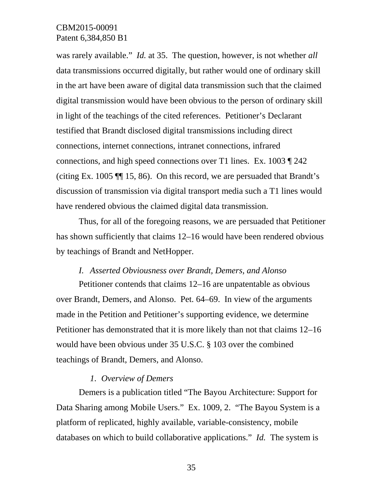was rarely available." *Id.* at 35. The question, however, is not whether *all* data transmissions occurred digitally, but rather would one of ordinary skill in the art have been aware of digital data transmission such that the claimed digital transmission would have been obvious to the person of ordinary skill in light of the teachings of the cited references. Petitioner's Declarant testified that Brandt disclosed digital transmissions including direct connections, internet connections, intranet connections, infrared connections, and high speed connections over T1 lines. Ex. 1003 ¶ 242 (citing Ex. 1005 ¶¶ 15, 86). On this record, we are persuaded that Brandt's discussion of transmission via digital transport media such a T1 lines would have rendered obvious the claimed digital data transmission.

Thus, for all of the foregoing reasons, we are persuaded that Petitioner has shown sufficiently that claims 12–16 would have been rendered obvious by teachings of Brandt and NetHopper.

#### *I. Asserted Obviousness over Brandt, Demers, and Alonso*

Petitioner contends that claims 12–16 are unpatentable as obvious over Brandt, Demers, and Alonso. Pet. 64–69. In view of the arguments made in the Petition and Petitioner's supporting evidence, we determine Petitioner has demonstrated that it is more likely than not that claims 12–16 would have been obvious under 35 U.S.C. § 103 over the combined teachings of Brandt, Demers, and Alonso.

### *1. Overview of Demers*

Demers is a publication titled "The Bayou Architecture: Support for Data Sharing among Mobile Users." Ex. 1009, 2. "The Bayou System is a platform of replicated, highly available, variable-consistency, mobile databases on which to build collaborative applications." *Id.* The system is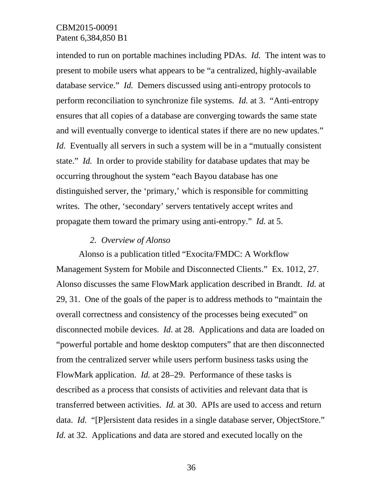intended to run on portable machines including PDAs. *Id.* The intent was to present to mobile users what appears to be "a centralized, highly-available database service." *Id.* Demers discussed using anti-entropy protocols to perform reconciliation to synchronize file systems. *Id.* at 3. "Anti-entropy ensures that all copies of a database are converging towards the same state and will eventually converge to identical states if there are no new updates." *Id.* Eventually all servers in such a system will be in a "mutually consistent" state." *Id.* In order to provide stability for database updates that may be occurring throughout the system "each Bayou database has one distinguished server, the 'primary,' which is responsible for committing writes. The other, 'secondary' servers tentatively accept writes and propagate them toward the primary using anti-entropy." *Id.* at 5.

#### *2. Overview of Alonso*

Alonso is a publication titled "Exocita/FMDC: A Workflow Management System for Mobile and Disconnected Clients." Ex. 1012, 27. Alonso discusses the same FlowMark application described in Brandt. *Id.* at 29, 31. One of the goals of the paper is to address methods to "maintain the overall correctness and consistency of the processes being executed" on disconnected mobile devices. *Id.* at 28. Applications and data are loaded on "powerful portable and home desktop computers" that are then disconnected from the centralized server while users perform business tasks using the FlowMark application. *Id.* at 28–29. Performance of these tasks is described as a process that consists of activities and relevant data that is transferred between activities. *Id.* at 30. APIs are used to access and return data. *Id.* "[P]ersistent data resides in a single database server, ObjectStore." *Id.* at 32. Applications and data are stored and executed locally on the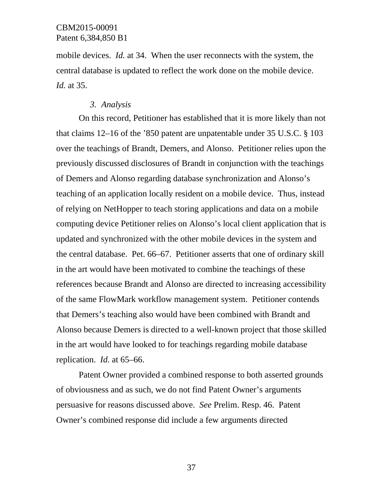mobile devices. *Id.* at 34. When the user reconnects with the system, the central database is updated to reflect the work done on the mobile device. *Id.* at 35.

#### *3. Analysis*

On this record, Petitioner has established that it is more likely than not that claims 12–16 of the '850 patent are unpatentable under 35 U.S.C. § 103 over the teachings of Brandt, Demers, and Alonso. Petitioner relies upon the previously discussed disclosures of Brandt in conjunction with the teachings of Demers and Alonso regarding database synchronization and Alonso's teaching of an application locally resident on a mobile device. Thus, instead of relying on NetHopper to teach storing applications and data on a mobile computing device Petitioner relies on Alonso's local client application that is updated and synchronized with the other mobile devices in the system and the central database. Pet. 66–67. Petitioner asserts that one of ordinary skill in the art would have been motivated to combine the teachings of these references because Brandt and Alonso are directed to increasing accessibility of the same FlowMark workflow management system. Petitioner contends that Demers's teaching also would have been combined with Brandt and Alonso because Demers is directed to a well-known project that those skilled in the art would have looked to for teachings regarding mobile database replication. *Id.* at 65–66.

Patent Owner provided a combined response to both asserted grounds of obviousness and as such, we do not find Patent Owner's arguments persuasive for reasons discussed above. *See* Prelim. Resp. 46. Patent Owner's combined response did include a few arguments directed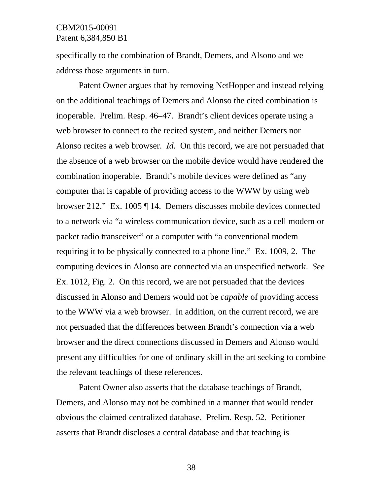specifically to the combination of Brandt, Demers, and Alsono and we address those arguments in turn.

Patent Owner argues that by removing NetHopper and instead relying on the additional teachings of Demers and Alonso the cited combination is inoperable. Prelim. Resp. 46–47. Brandt's client devices operate using a web browser to connect to the recited system, and neither Demers nor Alonso recites a web browser. *Id.* On this record, we are not persuaded that the absence of a web browser on the mobile device would have rendered the combination inoperable. Brandt's mobile devices were defined as "any computer that is capable of providing access to the WWW by using web browser 212." Ex. 1005 ¶ 14. Demers discusses mobile devices connected to a network via "a wireless communication device, such as a cell modem or packet radio transceiver" or a computer with "a conventional modem requiring it to be physically connected to a phone line." Ex. 1009, 2. The computing devices in Alonso are connected via an unspecified network. *See* Ex. 1012, Fig. 2. On this record, we are not persuaded that the devices discussed in Alonso and Demers would not be *capable* of providing access to the WWW via a web browser. In addition, on the current record, we are not persuaded that the differences between Brandt's connection via a web browser and the direct connections discussed in Demers and Alonso would present any difficulties for one of ordinary skill in the art seeking to combine the relevant teachings of these references.

Patent Owner also asserts that the database teachings of Brandt, Demers, and Alonso may not be combined in a manner that would render obvious the claimed centralized database. Prelim. Resp. 52. Petitioner asserts that Brandt discloses a central database and that teaching is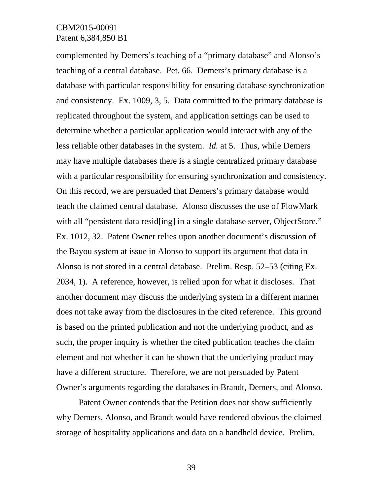complemented by Demers's teaching of a "primary database" and Alonso's teaching of a central database. Pet. 66. Demers's primary database is a database with particular responsibility for ensuring database synchronization and consistency. Ex. 1009, 3, 5. Data committed to the primary database is replicated throughout the system, and application settings can be used to determine whether a particular application would interact with any of the less reliable other databases in the system. *Id.* at 5. Thus, while Demers may have multiple databases there is a single centralized primary database with a particular responsibility for ensuring synchronization and consistency. On this record, we are persuaded that Demers's primary database would teach the claimed central database. Alonso discusses the use of FlowMark with all "persistent data resid [ing] in a single database server, ObjectStore." Ex. 1012, 32. Patent Owner relies upon another document's discussion of the Bayou system at issue in Alonso to support its argument that data in Alonso is not stored in a central database. Prelim. Resp. 52–53 (citing Ex. 2034, 1). A reference, however, is relied upon for what it discloses. That another document may discuss the underlying system in a different manner does not take away from the disclosures in the cited reference. This ground is based on the printed publication and not the underlying product, and as such, the proper inquiry is whether the cited publication teaches the claim element and not whether it can be shown that the underlying product may have a different structure. Therefore, we are not persuaded by Patent Owner's arguments regarding the databases in Brandt, Demers, and Alonso.

Patent Owner contends that the Petition does not show sufficiently why Demers, Alonso, and Brandt would have rendered obvious the claimed storage of hospitality applications and data on a handheld device. Prelim.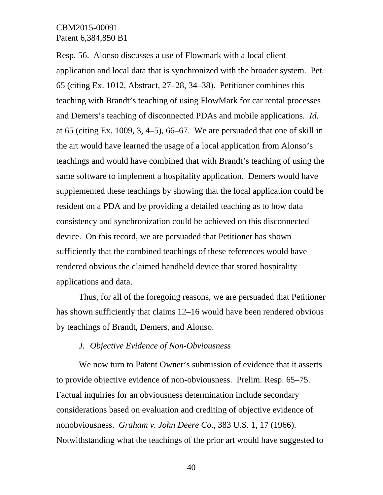Resp. 56. Alonso discusses a use of Flowmark with a local client application and local data that is synchronized with the broader system. Pet. 65 (citing Ex. 1012, Abstract, 27–28, 34–38). Petitioner combines this teaching with Brandt's teaching of using FlowMark for car rental processes and Demers's teaching of disconnected PDAs and mobile applications. *Id.*  at 65 (citing Ex. 1009, 3, 4–5), 66–67. We are persuaded that one of skill in the art would have learned the usage of a local application from Alonso's teachings and would have combined that with Brandt's teaching of using the same software to implement a hospitality application. Demers would have supplemented these teachings by showing that the local application could be resident on a PDA and by providing a detailed teaching as to how data consistency and synchronization could be achieved on this disconnected device. On this record, we are persuaded that Petitioner has shown sufficiently that the combined teachings of these references would have rendered obvious the claimed handheld device that stored hospitality applications and data.

Thus, for all of the foregoing reasons, we are persuaded that Petitioner has shown sufficiently that claims 12–16 would have been rendered obvious by teachings of Brandt, Demers, and Alonso.

# *J. Objective Evidence of Non-Obviousness*

We now turn to Patent Owner's submission of evidence that it asserts to provide objective evidence of non-obviousness. Prelim. Resp. 65–75. Factual inquiries for an obviousness determination include secondary considerations based on evaluation and crediting of objective evidence of nonobviousness. *Graham v. John Deere Co*., 383 U.S. 1, 17 (1966). Notwithstanding what the teachings of the prior art would have suggested to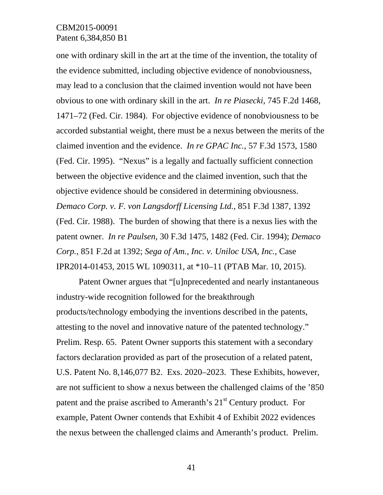one with ordinary skill in the art at the time of the invention, the totality of the evidence submitted, including objective evidence of nonobviousness, may lead to a conclusion that the claimed invention would not have been obvious to one with ordinary skill in the art. *In re Piasecki*, 745 F.2d 1468, 1471–72 (Fed. Cir. 1984). For objective evidence of nonobviousness to be accorded substantial weight, there must be a nexus between the merits of the claimed invention and the evidence. *In re GPAC Inc.*, 57 F.3d 1573, 1580 (Fed. Cir. 1995). "Nexus" is a legally and factually sufficient connection between the objective evidence and the claimed invention, such that the objective evidence should be considered in determining obviousness. *Demaco Corp. v. F. von Langsdorff Licensing Ltd.*, 851 F.3d 1387, 1392 (Fed. Cir. 1988). The burden of showing that there is a nexus lies with the patent owner. *In re Paulsen*, 30 F.3d 1475, 1482 (Fed. Cir. 1994); *Demaco Corp.*, 851 F.2d at 1392; *Sega of Am., Inc. v. Uniloc USA, Inc.*, Case IPR2014-01453, 2015 WL 1090311, at \*10–11 (PTAB Mar. 10, 2015).

Patent Owner argues that "[u]nprecedented and nearly instantaneous industry-wide recognition followed for the breakthrough products/technology embodying the inventions described in the patents, attesting to the novel and innovative nature of the patented technology." Prelim. Resp. 65. Patent Owner supports this statement with a secondary factors declaration provided as part of the prosecution of a related patent, U.S. Patent No. 8,146,077 B2. Exs. 2020–2023. These Exhibits, however, are not sufficient to show a nexus between the challenged claims of the '850 patent and the praise ascribed to Ameranth's 21<sup>st</sup> Century product. For example, Patent Owner contends that Exhibit 4 of Exhibit 2022 evidences the nexus between the challenged claims and Ameranth's product. Prelim.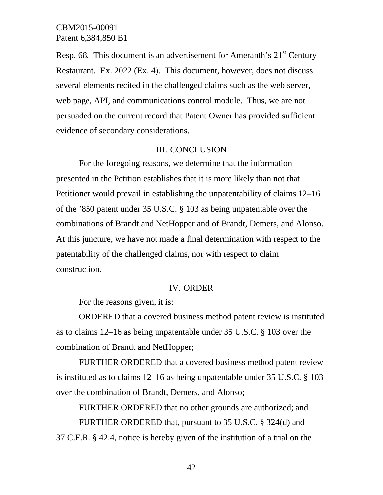Resp. 68. This document is an advertisement for Ameranth's  $21<sup>st</sup>$  Century Restaurant. Ex. 2022 (Ex. 4). This document, however, does not discuss several elements recited in the challenged claims such as the web server, web page, API, and communications control module. Thus, we are not persuaded on the current record that Patent Owner has provided sufficient evidence of secondary considerations.

### III. CONCLUSION

For the foregoing reasons, we determine that the information presented in the Petition establishes that it is more likely than not that Petitioner would prevail in establishing the unpatentability of claims 12–16 of the '850 patent under 35 U.S.C. § 103 as being unpatentable over the combinations of Brandt and NetHopper and of Brandt, Demers, and Alonso. At this juncture, we have not made a final determination with respect to the patentability of the challenged claims, nor with respect to claim construction.

#### IV. ORDER

For the reasons given, it is:

ORDERED that a covered business method patent review is instituted as to claims 12–16 as being unpatentable under 35 U.S.C. § 103 over the combination of Brandt and NetHopper;

FURTHER ORDERED that a covered business method patent review is instituted as to claims 12–16 as being unpatentable under 35 U.S.C. § 103 over the combination of Brandt, Demers, and Alonso;

FURTHER ORDERED that no other grounds are authorized; and FURTHER ORDERED that, pursuant to 35 U.S.C. § 324(d) and 37 C.F.R. § 42.4, notice is hereby given of the institution of a trial on the